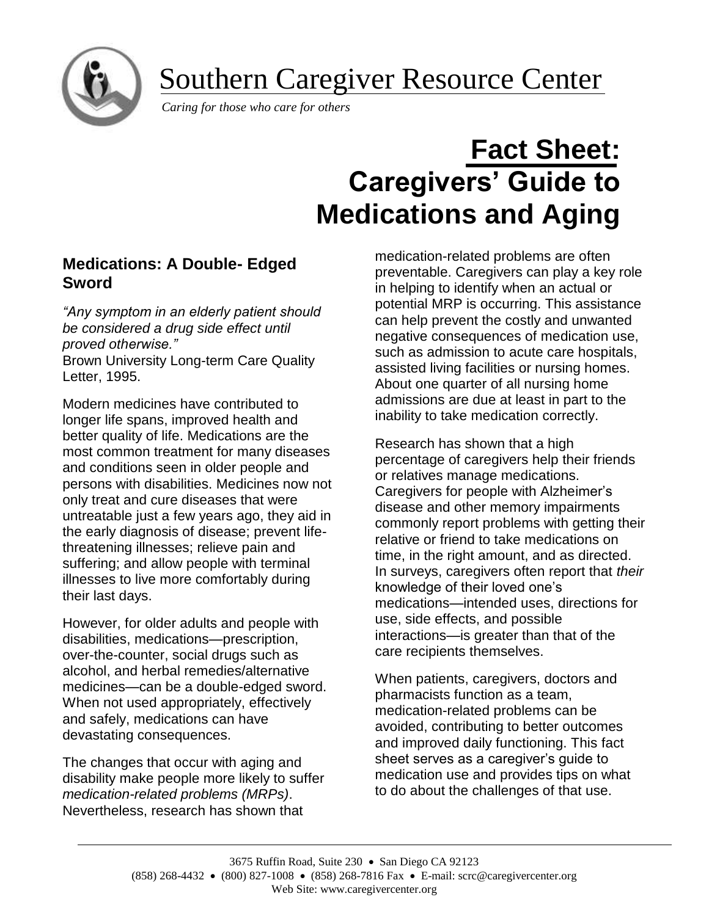Southern Caregiver Resource Center

*Caring for those who care for others*

# **Fact Sheet: Caregivers' Guide to Medications and Aging**

# **Medications: A Double- Edged Sword**

*"Any symptom in an elderly patient should be considered a drug side effect until proved otherwise."* Brown University Long-term Care Quality Letter, 1995.

Modern medicines have contributed to longer life spans, improved health and better quality of life. Medications are the most common treatment for many diseases and conditions seen in older people and persons with disabilities. Medicines now not only treat and cure diseases that were untreatable just a few years ago, they aid in the early diagnosis of disease; prevent lifethreatening illnesses; relieve pain and suffering; and allow people with terminal illnesses to live more comfortably during their last days.

However, for older adults and people with disabilities, medications—prescription, over-the-counter, social drugs such as alcohol, and herbal remedies/alternative medicines—can be a double-edged sword. When not used appropriately, effectively and safely, medications can have devastating consequences.

The changes that occur with aging and disability make people more likely to suffer *medication-related problems (MRPs)*. Nevertheless, research has shown that

medication-related problems are often preventable. Caregivers can play a key role in helping to identify when an actual or potential MRP is occurring. This assistance can help prevent the costly and unwanted negative consequences of medication use, such as admission to acute care hospitals, assisted living facilities or nursing homes. About one quarter of all nursing home admissions are due at least in part to the inability to take medication correctly.

Research has shown that a high percentage of caregivers help their friends or relatives manage medications. Caregivers for people with Alzheimer's disease and other memory impairments commonly report problems with getting their relative or friend to take medications on time, in the right amount, and as directed. In surveys, caregivers often report that *their* knowledge of their loved one's medications—intended uses, directions for use, side effects, and possible interactions—is greater than that of the care recipients themselves.

When patients, caregivers, doctors and pharmacists function as a team, medication-related problems can be avoided, contributing to better outcomes and improved daily functioning. This fact sheet serves as a caregiver's guide to medication use and provides tips on what to do about the challenges of that use.

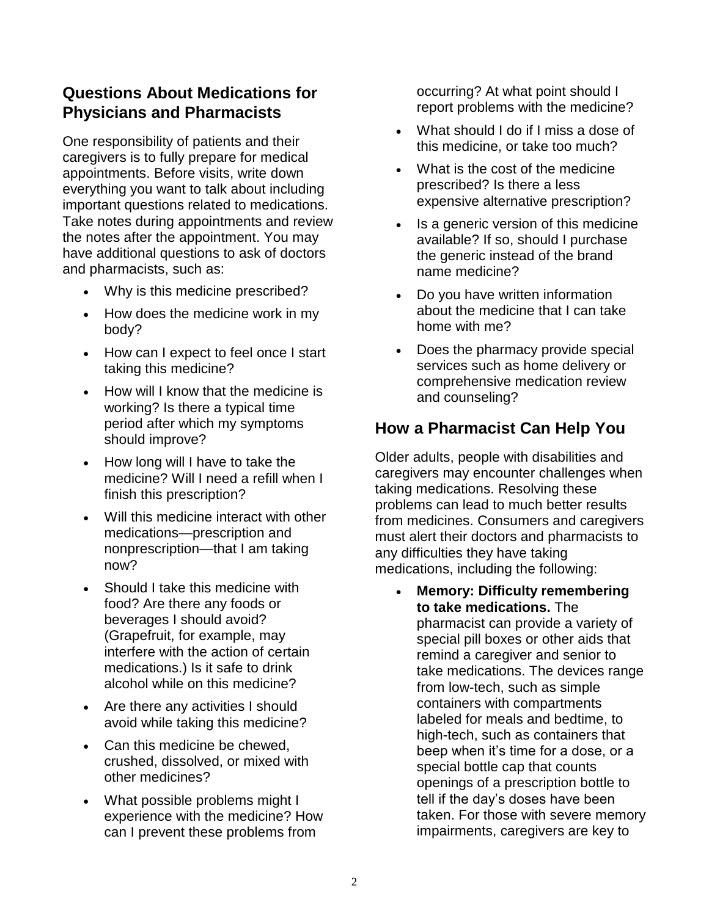# **Questions About Medications for Physicians and Pharmacists**

One responsibility of patients and their caregivers is to fully prepare for medical appointments. Before visits, write down everything you want to talk about including important questions related to medications. Take notes during appointments and review the notes after the appointment. You may have additional questions to ask of doctors and pharmacists, such as:

- Why is this medicine prescribed?
- How does the medicine work in my body?
- How can I expect to feel once I start taking this medicine?
- How will I know that the medicine is working? Is there a typical time period after which my symptoms should improve?
- How long will I have to take the medicine? Will I need a refill when I finish this prescription?
- Will this medicine interact with other medications—prescription and nonprescription—that I am taking now?
- Should I take this medicine with food? Are there any foods or beverages I should avoid? (Grapefruit, for example, may interfere with the action of certain medications.) Is it safe to drink alcohol while on this medicine?
- Are there any activities I should avoid while taking this medicine?
- Can this medicine be chewed, crushed, dissolved, or mixed with other medicines?
- What possible problems might I experience with the medicine? How can I prevent these problems from

occurring? At what point should I report problems with the medicine?

- What should I do if I miss a dose of this medicine, or take too much?
- What is the cost of the medicine prescribed? Is there a less expensive alternative prescription?
- Is a generic version of this medicine available? If so, should I purchase the generic instead of the brand name medicine?
- Do you have written information about the medicine that I can take home with me?
- Does the pharmacy provide special services such as home delivery or comprehensive medication review and counseling?

# **How a Pharmacist Can Help You**

Older adults, people with disabilities and caregivers may encounter challenges when taking medications. Resolving these problems can lead to much better results from medicines. Consumers and caregivers must alert their doctors and pharmacists to any difficulties they have taking medications, including the following:

• **Memory: Difficulty remembering to take medications.** The pharmacist can provide a variety of special pill boxes or other aids that remind a caregiver and senior to take medications. The devices range from low-tech, such as simple containers with compartments labeled for meals and bedtime, to high-tech, such as containers that beep when it's time for a dose, or a special bottle cap that counts openings of a prescription bottle to tell if the day's doses have been taken. For those with severe memory impairments, caregivers are key to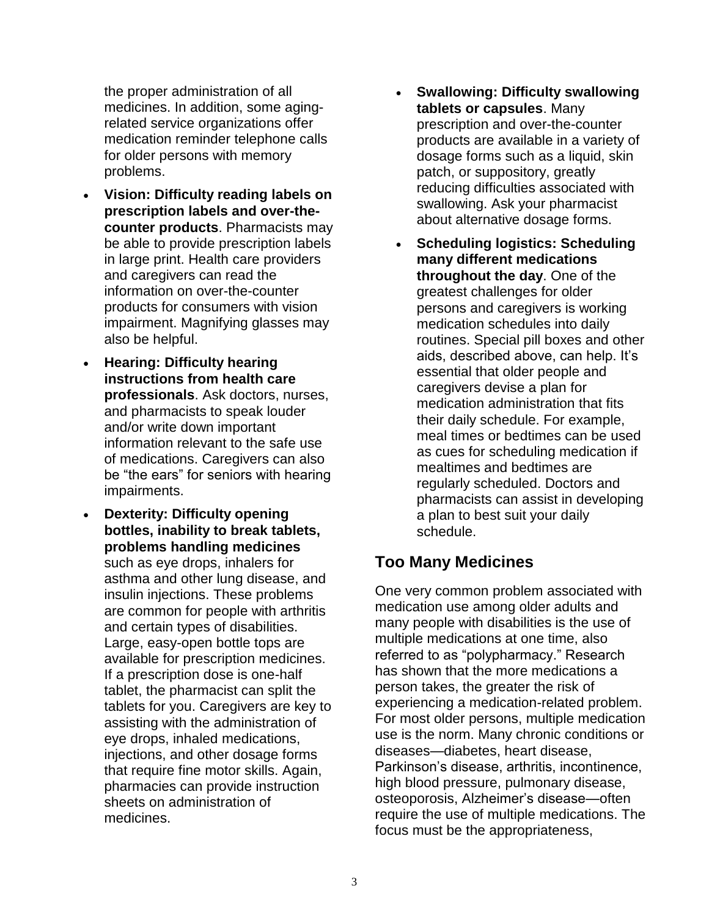the proper administration of all medicines. In addition, some agingrelated service organizations offer medication reminder telephone calls for older persons with memory problems.

- **Vision: Difficulty reading labels on prescription labels and over-thecounter products**. Pharmacists may be able to provide prescription labels in large print. Health care providers and caregivers can read the information on over-the-counter products for consumers with vision impairment. Magnifying glasses may also be helpful.
- **Hearing: Difficulty hearing instructions from health care professionals**. Ask doctors, nurses, and pharmacists to speak louder and/or write down important information relevant to the safe use of medications. Caregivers can also be "the ears" for seniors with hearing impairments.
- **Dexterity: Difficulty opening bottles, inability to break tablets, problems handling medicines** such as eye drops, inhalers for asthma and other lung disease, and insulin injections. These problems are common for people with arthritis and certain types of disabilities. Large, easy-open bottle tops are available for prescription medicines. If a prescription dose is one-half tablet, the pharmacist can split the tablets for you. Caregivers are key to assisting with the administration of eye drops, inhaled medications, injections, and other dosage forms that require fine motor skills. Again, pharmacies can provide instruction sheets on administration of medicines.
- **Swallowing: Difficulty swallowing tablets or capsules**. Many prescription and over-the-counter products are available in a variety of dosage forms such as a liquid, skin patch, or suppository, greatly reducing difficulties associated with swallowing. Ask your pharmacist about alternative dosage forms.
- **Scheduling logistics: Scheduling many different medications throughout the day**. One of the greatest challenges for older persons and caregivers is working medication schedules into daily routines. Special pill boxes and other aids, described above, can help. It's essential that older people and caregivers devise a plan for medication administration that fits their daily schedule. For example, meal times or bedtimes can be used as cues for scheduling medication if mealtimes and bedtimes are regularly scheduled. Doctors and pharmacists can assist in developing a plan to best suit your daily schedule.

## **Too Many Medicines**

One very common problem associated with medication use among older adults and many people with disabilities is the use of multiple medications at one time, also referred to as "polypharmacy." Research has shown that the more medications a person takes, the greater the risk of experiencing a medication-related problem. For most older persons, multiple medication use is the norm. Many chronic conditions or diseases—diabetes, heart disease, Parkinson's disease, arthritis, incontinence, high blood pressure, pulmonary disease, osteoporosis, Alzheimer's disease—often require the use of multiple medications. The focus must be the appropriateness,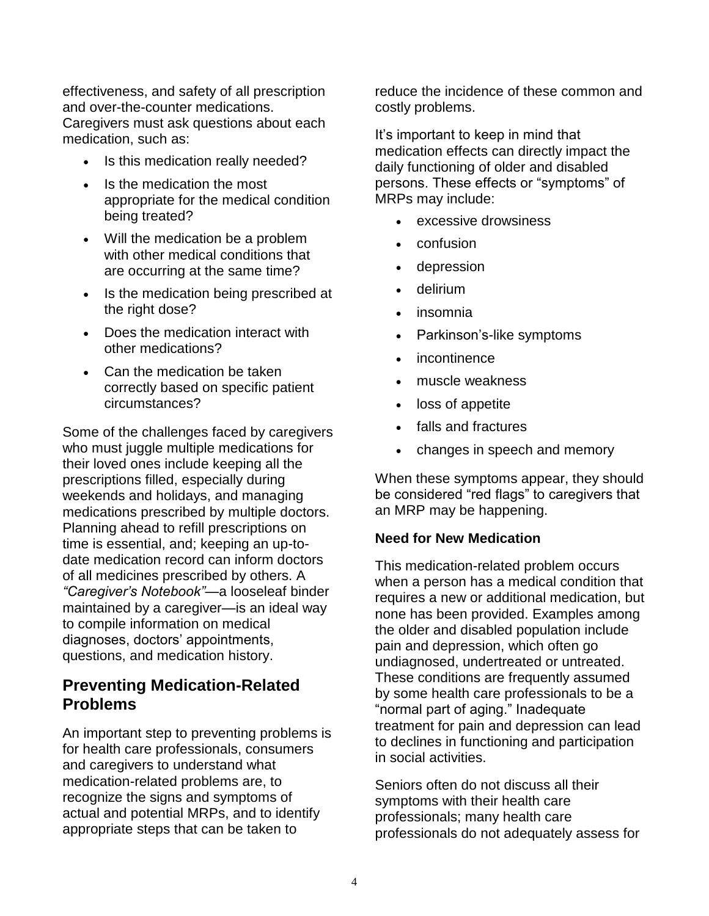effectiveness, and safety of all prescription and over-the-counter medications. Caregivers must ask questions about each medication, such as:

- Is this medication really needed?
- Is the medication the most appropriate for the medical condition being treated?
- Will the medication be a problem with other medical conditions that are occurring at the same time?
- Is the medication being prescribed at the right dose?
- Does the medication interact with other medications?
- Can the medication be taken correctly based on specific patient circumstances?

Some of the challenges faced by caregivers who must juggle multiple medications for their loved ones include keeping all the prescriptions filled, especially during weekends and holidays, and managing medications prescribed by multiple doctors. Planning ahead to refill prescriptions on time is essential, and; keeping an up-todate medication record can inform doctors of all medicines prescribed by others. A *"Caregiver's Notebook"*—a looseleaf binder maintained by a caregiver—is an ideal way to compile information on medical diagnoses, doctors' appointments, questions, and medication history.

## **Preventing Medication-Related Problems**

An important step to preventing problems is for health care professionals, consumers and caregivers to understand what medication-related problems are, to recognize the signs and symptoms of actual and potential MRPs, and to identify appropriate steps that can be taken to

reduce the incidence of these common and costly problems.

It's important to keep in mind that medication effects can directly impact the daily functioning of older and disabled persons. These effects or "symptoms" of MRPs may include:

- excessive drowsiness
- confusion
- depression
- delirium
- insomnia
- Parkinson's-like symptoms
- incontinence
- muscle weakness
- loss of appetite
- falls and fractures
- changes in speech and memory

When these symptoms appear, they should be considered "red flags" to caregivers that an MRP may be happening.

#### **Need for New Medication**

This medication-related problem occurs when a person has a medical condition that requires a new or additional medication, but none has been provided. Examples among the older and disabled population include pain and depression, which often go undiagnosed, undertreated or untreated. These conditions are frequently assumed by some health care professionals to be a "normal part of aging." Inadequate treatment for pain and depression can lead to declines in functioning and participation in social activities.

Seniors often do not discuss all their symptoms with their health care professionals; many health care professionals do not adequately assess for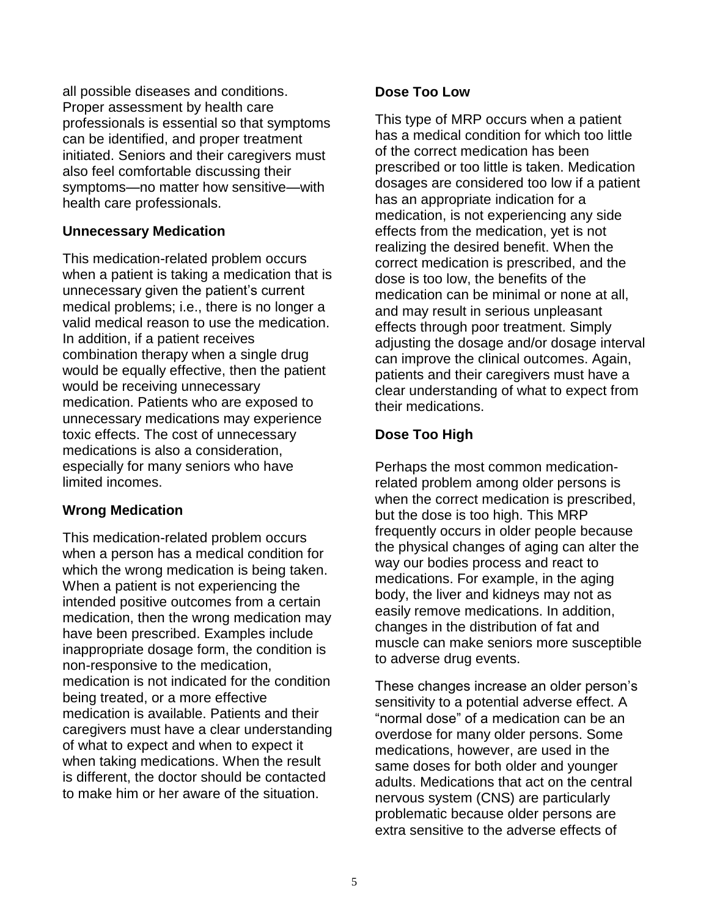all possible diseases and conditions. Proper assessment by health care professionals is essential so that symptoms can be identified, and proper treatment initiated. Seniors and their caregivers must also feel comfortable discussing their symptoms—no matter how sensitive—with health care professionals.

#### **Unnecessary Medication**

This medication-related problem occurs when a patient is taking a medication that is unnecessary given the patient's current medical problems; i.e., there is no longer a valid medical reason to use the medication. In addition, if a patient receives combination therapy when a single drug would be equally effective, then the patient would be receiving unnecessary medication. Patients who are exposed to unnecessary medications may experience toxic effects. The cost of unnecessary medications is also a consideration, especially for many seniors who have limited incomes.

## **Wrong Medication**

This medication-related problem occurs when a person has a medical condition for which the wrong medication is being taken. When a patient is not experiencing the intended positive outcomes from a certain medication, then the wrong medication may have been prescribed. Examples include inappropriate dosage form, the condition is non-responsive to the medication, medication is not indicated for the condition being treated, or a more effective medication is available. Patients and their caregivers must have a clear understanding of what to expect and when to expect it when taking medications. When the result is different, the doctor should be contacted to make him or her aware of the situation.

## **Dose Too Low**

This type of MRP occurs when a patient has a medical condition for which too little of the correct medication has been prescribed or too little is taken. Medication dosages are considered too low if a patient has an appropriate indication for a medication, is not experiencing any side effects from the medication, yet is not realizing the desired benefit. When the correct medication is prescribed, and the dose is too low, the benefits of the medication can be minimal or none at all, and may result in serious unpleasant effects through poor treatment. Simply adjusting the dosage and/or dosage interval can improve the clinical outcomes. Again, patients and their caregivers must have a clear understanding of what to expect from their medications.

## **Dose Too High**

Perhaps the most common medicationrelated problem among older persons is when the correct medication is prescribed, but the dose is too high. This MRP frequently occurs in older people because the physical changes of aging can alter the way our bodies process and react to medications. For example, in the aging body, the liver and kidneys may not as easily remove medications. In addition, changes in the distribution of fat and muscle can make seniors more susceptible to adverse drug events.

These changes increase an older person's sensitivity to a potential adverse effect. A "normal dose" of a medication can be an overdose for many older persons. Some medications, however, are used in the same doses for both older and younger adults. Medications that act on the central nervous system (CNS) are particularly problematic because older persons are extra sensitive to the adverse effects of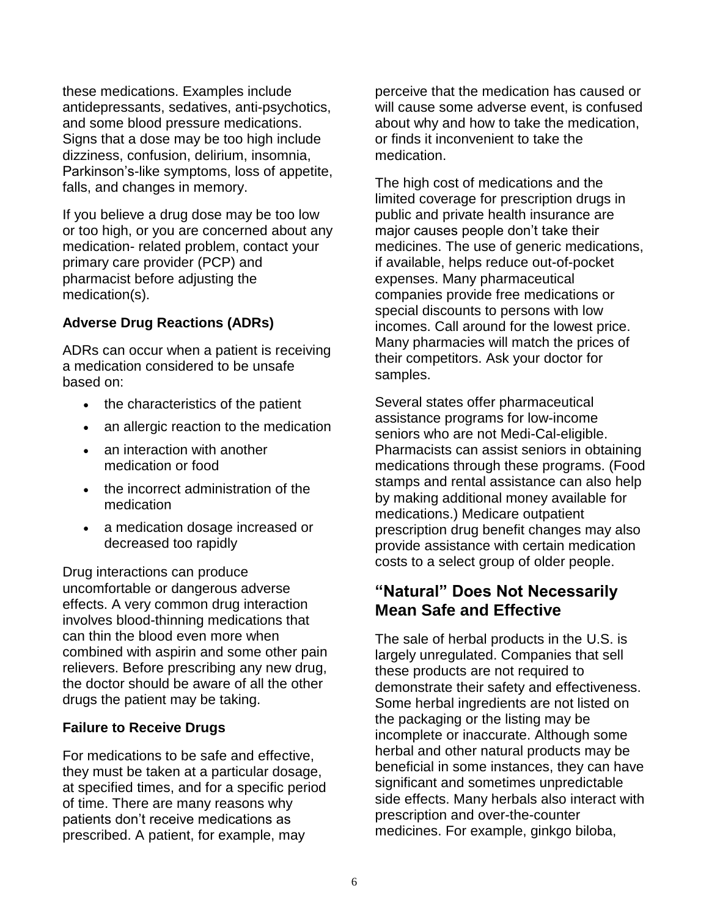these medications. Examples include antidepressants, sedatives, anti-psychotics, and some blood pressure medications. Signs that a dose may be too high include dizziness, confusion, delirium, insomnia, Parkinson's-like symptoms, loss of appetite, falls, and changes in memory.

If you believe a drug dose may be too low or too high, or you are concerned about any medication- related problem, contact your primary care provider (PCP) and pharmacist before adjusting the medication(s).

## **Adverse Drug Reactions (ADRs)**

ADRs can occur when a patient is receiving a medication considered to be unsafe based on:

- the characteristics of the patient
- an allergic reaction to the medication
- an interaction with another medication or food
- the incorrect administration of the medication
- a medication dosage increased or decreased too rapidly

Drug interactions can produce uncomfortable or dangerous adverse effects. A very common drug interaction involves blood-thinning medications that can thin the blood even more when combined with aspirin and some other pain relievers. Before prescribing any new drug, the doctor should be aware of all the other drugs the patient may be taking.

## **Failure to Receive Drugs**

For medications to be safe and effective, they must be taken at a particular dosage, at specified times, and for a specific period of time. There are many reasons why patients don't receive medications as prescribed. A patient, for example, may

perceive that the medication has caused or will cause some adverse event, is confused about why and how to take the medication, or finds it inconvenient to take the medication.

The high cost of medications and the limited coverage for prescription drugs in public and private health insurance are major causes people don't take their medicines. The use of generic medications, if available, helps reduce out-of-pocket expenses. Many pharmaceutical companies provide free medications or special discounts to persons with low incomes. Call around for the lowest price. Many pharmacies will match the prices of their competitors. Ask your doctor for samples.

Several states offer pharmaceutical assistance programs for low-income seniors who are not Medi-Cal-eligible. Pharmacists can assist seniors in obtaining medications through these programs. (Food stamps and rental assistance can also help by making additional money available for medications.) Medicare outpatient prescription drug benefit changes may also provide assistance with certain medication costs to a select group of older people.

## **"Natural" Does Not Necessarily Mean Safe and Effective**

The sale of herbal products in the U.S. is largely unregulated. Companies that sell these products are not required to demonstrate their safety and effectiveness. Some herbal ingredients are not listed on the packaging or the listing may be incomplete or inaccurate. Although some herbal and other natural products may be beneficial in some instances, they can have significant and sometimes unpredictable side effects. Many herbals also interact with prescription and over-the-counter medicines. For example, ginkgo biloba,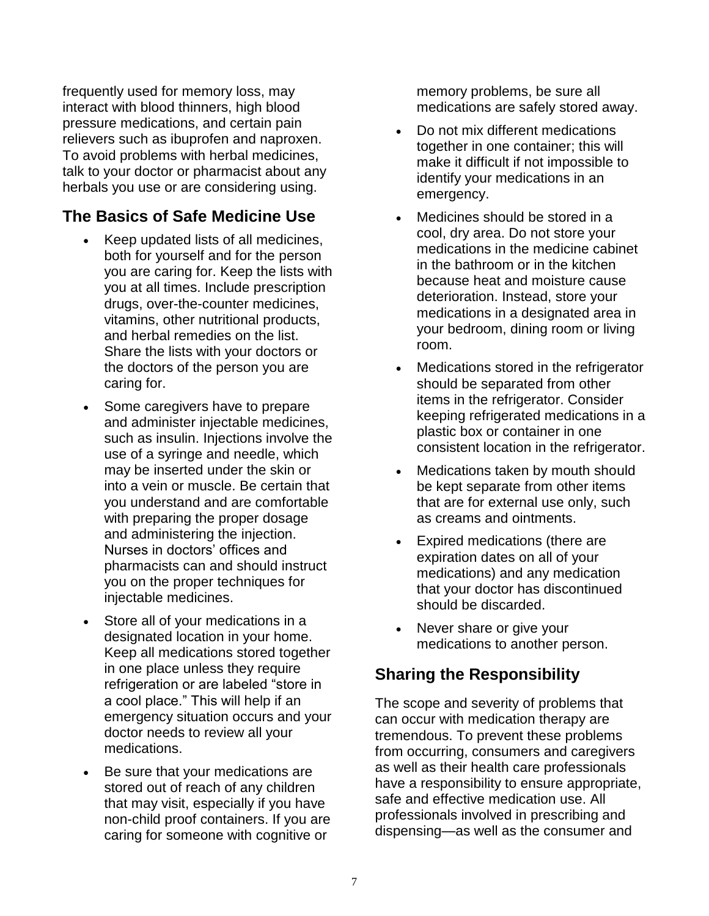frequently used for memory loss, may interact with blood thinners, high blood pressure medications, and certain pain relievers such as ibuprofen and naproxen. To avoid problems with herbal medicines, talk to your doctor or pharmacist about any herbals you use or are considering using.

# **The Basics of Safe Medicine Use**

- Keep updated lists of all medicines, both for yourself and for the person you are caring for. Keep the lists with you at all times. Include prescription drugs, over-the-counter medicines, vitamins, other nutritional products, and herbal remedies on the list. Share the lists with your doctors or the doctors of the person you are caring for.
- Some caregivers have to prepare and administer injectable medicines, such as insulin. Injections involve the use of a syringe and needle, which may be inserted under the skin or into a vein or muscle. Be certain that you understand and are comfortable with preparing the proper dosage and administering the injection. Nurses in doctors' offices and pharmacists can and should instruct you on the proper techniques for injectable medicines.
- Store all of your medications in a designated location in your home. Keep all medications stored together in one place unless they require refrigeration or are labeled "store in a cool place." This will help if an emergency situation occurs and your doctor needs to review all your medications.
- Be sure that your medications are stored out of reach of any children that may visit, especially if you have non-child proof containers. If you are caring for someone with cognitive or

memory problems, be sure all medications are safely stored away.

- Do not mix different medications together in one container; this will make it difficult if not impossible to identify your medications in an emergency.
- Medicines should be stored in a cool, dry area. Do not store your medications in the medicine cabinet in the bathroom or in the kitchen because heat and moisture cause deterioration. Instead, store your medications in a designated area in your bedroom, dining room or living room.
- Medications stored in the refrigerator should be separated from other items in the refrigerator. Consider keeping refrigerated medications in a plastic box or container in one consistent location in the refrigerator.
- Medications taken by mouth should be kept separate from other items that are for external use only, such as creams and ointments.
- Expired medications (there are expiration dates on all of your medications) and any medication that your doctor has discontinued should be discarded.
- Never share or give your medications to another person.

# **Sharing the Responsibility**

The scope and severity of problems that can occur with medication therapy are tremendous. To prevent these problems from occurring, consumers and caregivers as well as their health care professionals have a responsibility to ensure appropriate, safe and effective medication use. All professionals involved in prescribing and dispensing—as well as the consumer and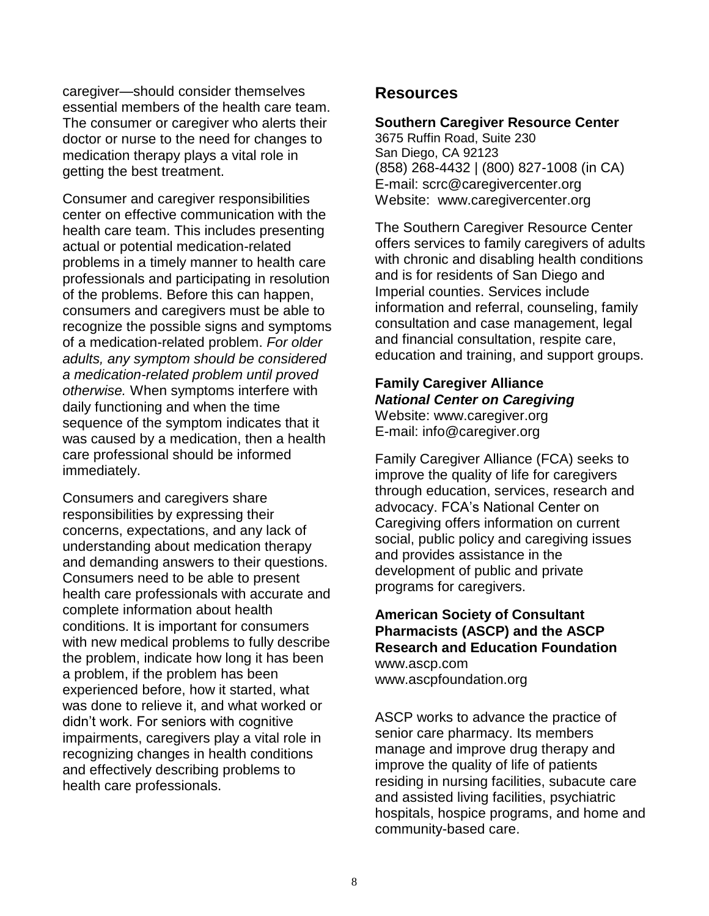caregiver—should consider themselves essential members of the health care team. The consumer or caregiver who alerts their doctor or nurse to the need for changes to medication therapy plays a vital role in getting the best treatment.

Consumer and caregiver responsibilities center on effective communication with the health care team. This includes presenting actual or potential medication-related problems in a timely manner to health care professionals and participating in resolution of the problems. Before this can happen, consumers and caregivers must be able to recognize the possible signs and symptoms of a medication-related problem. *For older adults, any symptom should be considered a medication-related problem until proved otherwise.* When symptoms interfere with daily functioning and when the time sequence of the symptom indicates that it was caused by a medication, then a health care professional should be informed immediately.

Consumers and caregivers share responsibilities by expressing their concerns, expectations, and any lack of understanding about medication therapy and demanding answers to their questions. Consumers need to be able to present health care professionals with accurate and complete information about health conditions. It is important for consumers with new medical problems to fully describe the problem, indicate how long it has been a problem, if the problem has been experienced before, how it started, what was done to relieve it, and what worked or didn't work. For seniors with cognitive impairments, caregivers play a vital role in recognizing changes in health conditions and effectively describing problems to health care professionals.

## **Resources**

#### **Southern Caregiver Resource Center**

3675 Ruffin Road, Suite 230 San Diego, CA 92123 (858) 268-4432 | (800) 827-1008 (in CA) E-mail: scrc@caregivercenter.org Website: www.caregivercenter.org

The Southern Caregiver Resource Center offers services to family caregivers of adults with chronic and disabling health conditions and is for residents of San Diego and Imperial counties. Services include information and referral, counseling, family consultation and case management, legal and financial consultation, respite care, education and training, and support groups.

## **Family Caregiver Alliance** *National Center on Caregiving* Website: www[.caregiver.org](https://www.caregiver.org/)

E-mail: info@caregiver.org

Family Caregiver Alliance (FCA) seeks to improve the quality of life for caregivers through education, services, research and advocacy. FCA's National Center on Caregiving offers information on current social, public policy and caregiving issues and provides assistance in the development of public and private programs for caregivers.

#### **American Society of Consultant Pharmacists (ASCP) and the ASCP Research and Education Foundation** www.ascp.com www.ascpfoundation.org

ASCP works to advance the practice of senior care pharmacy. Its members manage and improve drug therapy and improve the quality of life of patients residing in nursing facilities, subacute care and assisted living facilities, psychiatric hospitals, hospice programs, and home and community-based care.